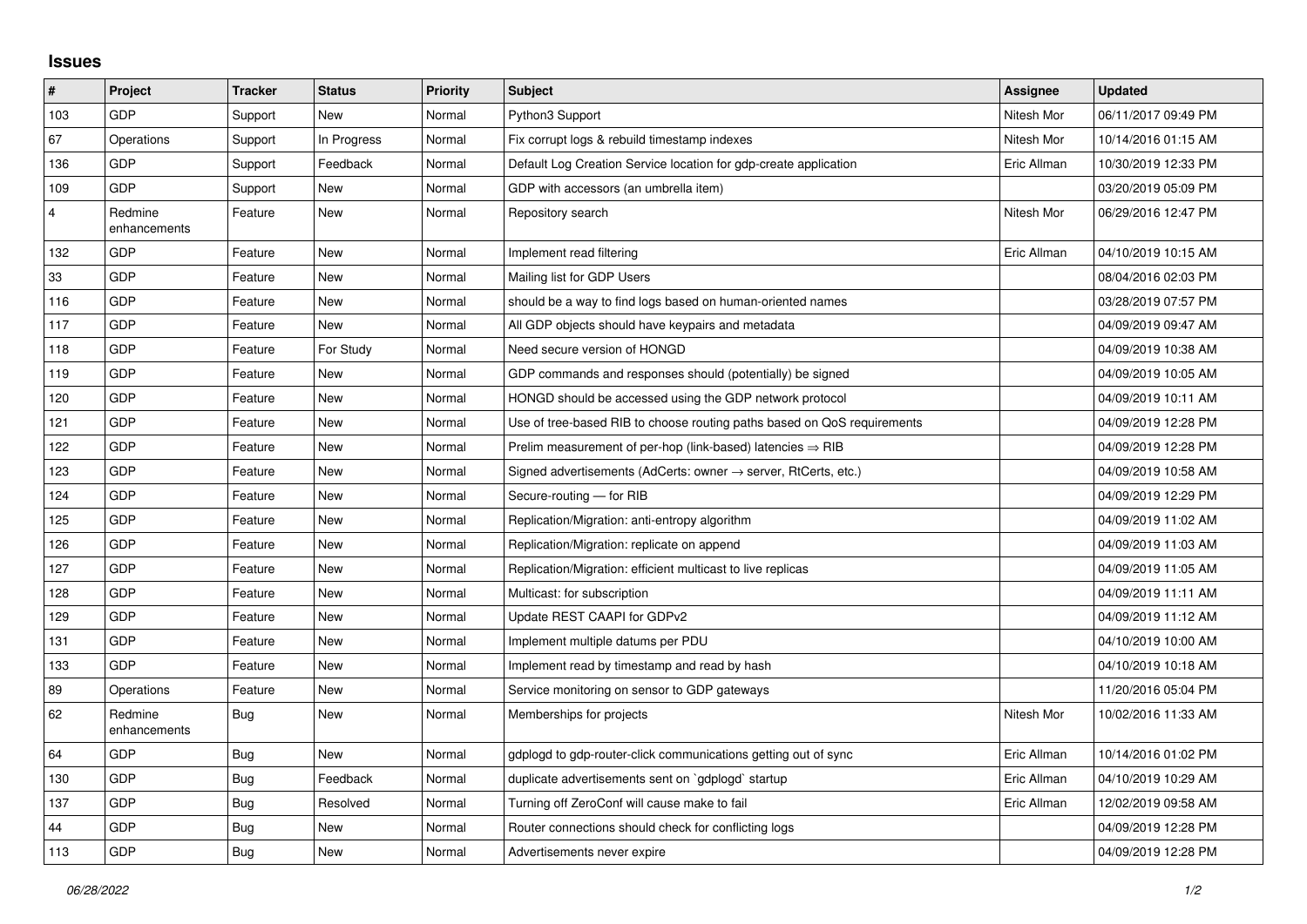## **Issues**

| #              | Project                 | <b>Tracker</b> | <b>Status</b> | <b>Priority</b> | <b>Subject</b>                                                          | Assignee    | <b>Updated</b>      |
|----------------|-------------------------|----------------|---------------|-----------------|-------------------------------------------------------------------------|-------------|---------------------|
| 103            | <b>GDP</b>              | Support        | <b>New</b>    | Normal          | Python3 Support                                                         | Nitesh Mor  | 06/11/2017 09:49 PM |
| 67             | Operations              | Support        | In Progress   | Normal          | Fix corrupt logs & rebuild timestamp indexes                            | Nitesh Mor  | 10/14/2016 01:15 AM |
| 136            | <b>GDP</b>              | Support        | Feedback      | Normal          | Default Log Creation Service location for gdp-create application        | Eric Allman | 10/30/2019 12:33 PM |
| 109            | <b>GDP</b>              | Support        | <b>New</b>    | Normal          | GDP with accessors (an umbrella item)                                   |             | 03/20/2019 05:09 PM |
| $\overline{4}$ | Redmine<br>enhancements | Feature        | <b>New</b>    | Normal          | Repository search                                                       | Nitesh Mor  | 06/29/2016 12:47 PM |
| 132            | <b>GDP</b>              | Feature        | <b>New</b>    | Normal          | Implement read filtering                                                | Eric Allman | 04/10/2019 10:15 AM |
| 33             | GDP                     | Feature        | <b>New</b>    | Normal          | Mailing list for GDP Users                                              |             | 08/04/2016 02:03 PM |
| 116            | <b>GDP</b>              | Feature        | <b>New</b>    | Normal          | should be a way to find logs based on human-oriented names              |             | 03/28/2019 07:57 PM |
| 117            | GDP                     | Feature        | <b>New</b>    | Normal          | All GDP objects should have keypairs and metadata                       |             | 04/09/2019 09:47 AM |
| 118            | GDP                     | Feature        | For Study     | Normal          | Need secure version of HONGD                                            |             | 04/09/2019 10:38 AM |
| 119            | GDP                     | Feature        | <b>New</b>    | Normal          | GDP commands and responses should (potentially) be signed               |             | 04/09/2019 10:05 AM |
| 120            | GDP                     | Feature        | <b>New</b>    | Normal          | HONGD should be accessed using the GDP network protocol                 |             | 04/09/2019 10:11 AM |
| 121            | GDP                     | Feature        | <b>New</b>    | Normal          | Use of tree-based RIB to choose routing paths based on QoS requirements |             | 04/09/2019 12:28 PM |
| 122            | <b>GDP</b>              | Feature        | New           | Normal          | Prelim measurement of per-hop (link-based) latencies $\Rightarrow$ RIB  |             | 04/09/2019 12:28 PM |
| 123            | GDP                     | Feature        | <b>New</b>    | Normal          | Signed advertisements (AdCerts: owner → server, RtCerts, etc.)          |             | 04/09/2019 10:58 AM |
| 124            | <b>GDP</b>              | Feature        | <b>New</b>    | Normal          | Secure-routing - for RIB                                                |             | 04/09/2019 12:29 PM |
| 125            | <b>GDP</b>              | Feature        | <b>New</b>    | Normal          | Replication/Migration: anti-entropy algorithm                           |             | 04/09/2019 11:02 AM |
| 126            | GDP                     | Feature        | <b>New</b>    | Normal          | Replication/Migration: replicate on append                              |             | 04/09/2019 11:03 AM |
| 127            | GDP                     | Feature        | <b>New</b>    | Normal          | Replication/Migration: efficient multicast to live replicas             |             | 04/09/2019 11:05 AM |
| 128            | <b>GDP</b>              | Feature        | New           | Normal          | Multicast: for subscription                                             |             | 04/09/2019 11:11 AM |
| 129            | <b>GDP</b>              | Feature        | <b>New</b>    | Normal          | Update REST CAAPI for GDPv2                                             |             | 04/09/2019 11:12 AM |
| 131            | GDP                     | Feature        | <b>New</b>    | Normal          | Implement multiple datums per PDU                                       |             | 04/10/2019 10:00 AM |
| 133            | <b>GDP</b>              | Feature        | <b>New</b>    | Normal          | Implement read by timestamp and read by hash                            |             | 04/10/2019 10:18 AM |
| 89             | Operations              | Feature        | <b>New</b>    | Normal          | Service monitoring on sensor to GDP gateways                            |             | 11/20/2016 05:04 PM |
| 62             | Redmine<br>enhancements | <b>Bug</b>     | <b>New</b>    | Normal          | Memberships for projects                                                | Nitesh Mor  | 10/02/2016 11:33 AM |
| 64             | GDP                     | <b>Bug</b>     | <b>New</b>    | Normal          | gdplogd to gdp-router-click communications getting out of sync          | Eric Allman | 10/14/2016 01:02 PM |
| 130            | <b>GDP</b>              | Bug            | Feedback      | Normal          | duplicate advertisements sent on `gdplogd` startup                      | Eric Allman | 04/10/2019 10:29 AM |
| 137            | GDP                     | <b>Bug</b>     | Resolved      | Normal          | Turning off ZeroConf will cause make to fail                            | Eric Allman | 12/02/2019 09:58 AM |
| 44             | <b>GDP</b>              | <b>Bug</b>     | <b>New</b>    | Normal          | Router connections should check for conflicting logs                    |             | 04/09/2019 12:28 PM |
| 113            | GDP                     | Bug            | <b>New</b>    | Normal          | Advertisements never expire                                             |             | 04/09/2019 12:28 PM |